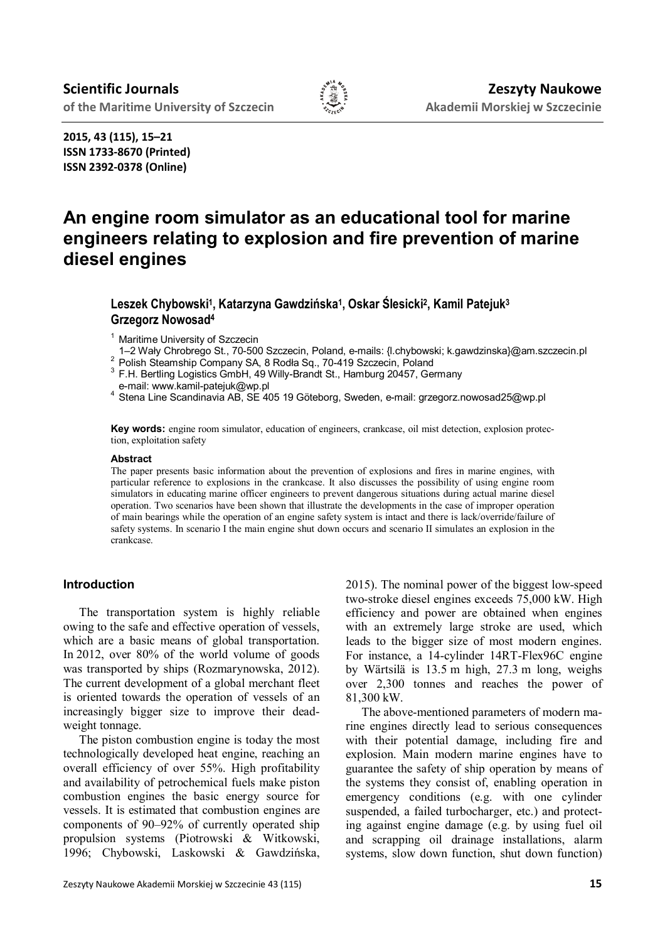

**2015, 43 (115), 15–21 ISSN 1733-8670 (Printed) ISSN 2392-0378 (Online)**

# **An engine room simulator as an educational tool for marine engineers relating to explosion and fire prevention of marine diesel engines**

# **Leszek Chybowski<sup>1</sup> , Katarzyna Gawdzińska<sup>1</sup> , Oskar Ślesicki<sup>2</sup> , Kamil Patejuk<sup>3</sup> Grzegorz Nowosad<sup>4</sup>**

<sup>1</sup> Maritime University of Szczecin

- 1–2 Wały Chrobrego St., 70-500 Szczecin, Poland, e-mails: {l.chybowski; k.gawdzinska}@am.szczecin.pl
- <sup>2</sup> Polish Steamship Company SA, 8 Rodła Sq., 70-419 Szczecin, Poland

 $3$  F.H. Bertling Logistics GmbH, 49 Willy-Brandt St., Hamburg 20457, Germany e-mail: www.kamil-patejuk@wp.pl

<sup>4</sup> Stena Line Scandinavia AB, SE 405 19 Göteborg, Sweden, e-mail: grzegorz.nowosad25@wp.pl

**Key words:** engine room simulator, education of engineers, crankcase, oil mist detection, explosion protection, exploitation safety

#### **Abstract**

The paper presents basic information about the prevention of explosions and fires in marine engines, with particular reference to explosions in the crankcase. It also discusses the possibility of using engine room simulators in educating marine officer engineers to prevent dangerous situations during actual marine diesel operation. Two scenarios have been shown that illustrate the developments in the case of improper operation of main bearings while the operation of an engine safety system is intact and there is lack/override/failure of safety systems. In scenario I the main engine shut down occurs and scenario II simulates an explosion in the crankcase.

## **Introduction**

The transportation system is highly reliable owing to the safe and effective operation of vessels, which are a basic means of global transportation. In 2012, over 80% of the world volume of goods was transported by ships (Rozmarynowska, 2012). The current development of a global merchant fleet is oriented towards the operation of vessels of an increasingly bigger size to improve their deadweight tonnage.

The piston combustion engine is today the most technologically developed heat engine, reaching an overall efficiency of over 55%. High profitability and availability of petrochemical fuels make piston combustion engines the basic energy source for vessels. It is estimated that combustion engines are components of 90–92% of currently operated ship propulsion systems (Piotrowski & Witkowski, 1996; Chybowski, Laskowski & Gawdzińska, 2015). The nominal power of the biggest low-speed two-stroke diesel engines exceeds 75,000 kW. High efficiency and power are obtained when engines with an extremely large stroke are used, which leads to the bigger size of most modern engines. For instance, a 14-cylinder 14RT-Flex96C engine by Wärtsilä is 13.5 m high, 27.3 m long, weighs over 2,300 tonnes and reaches the power of 81,300 kW.

The above-mentioned parameters of modern marine engines directly lead to serious consequences with their potential damage, including fire and explosion. Main modern marine engines have to guarantee the safety of ship operation by means of the systems they consist of, enabling operation in emergency conditions (e.g. with one cylinder suspended, a failed turbocharger, etc.) and protecting against engine damage (e.g. by using fuel oil and scrapping oil drainage installations, alarm systems, slow down function, shut down function)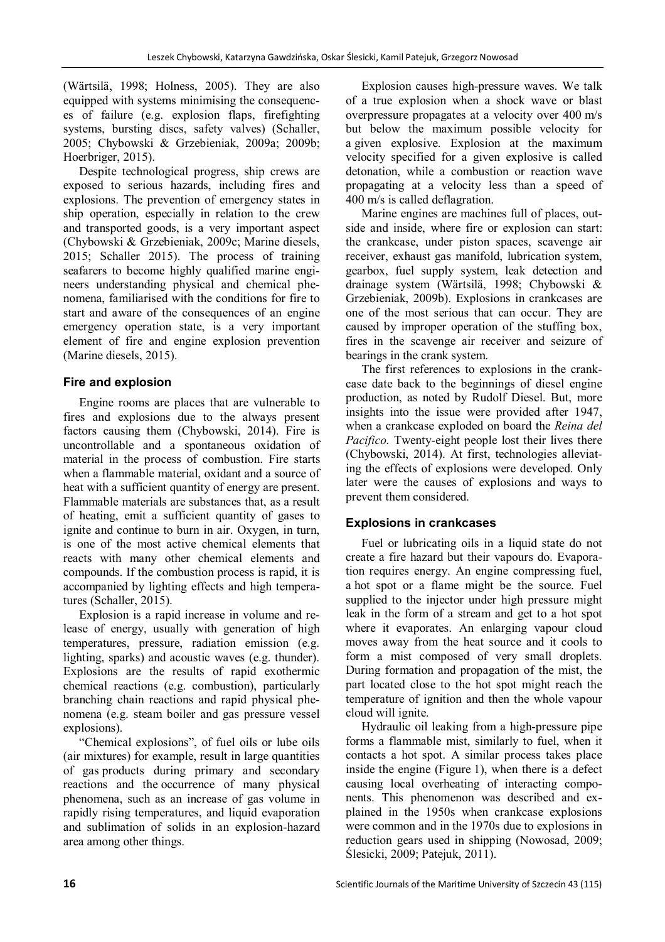(Wärtsilä, 1998; Holness, 2005). They are also equipped with systems minimising the consequences of failure (e.g. explosion flaps, firefighting systems, bursting discs, safety valves) (Schaller, 2005; Chybowski & Grzebieniak, 2009a; 2009b; Hoerbriger, 2015).

Despite technological progress, ship crews are exposed to serious hazards, including fires and explosions. The prevention of emergency states in ship operation, especially in relation to the crew and transported goods, is a very important aspect (Chybowski & Grzebieniak, 2009c; Marine diesels, 2015; Schaller 2015). The process of training seafarers to become highly qualified marine engineers understanding physical and chemical phenomena, familiarised with the conditions for fire to start and aware of the consequences of an engine emergency operation state, is a very important element of fire and engine explosion prevention (Marine diesels, 2015).

# **Fire and explosion**

Engine rooms are places that are vulnerable to fires and explosions due to the always present factors causing them (Chybowski, 2014). Fire is uncontrollable and a spontaneous oxidation of material in the process of combustion. Fire starts when a flammable material, oxidant and a source of heat with a sufficient quantity of energy are present. Flammable materials are substances that, as a result of heating, emit a sufficient quantity of gases to ignite and continue to burn in air. Oxygen, in turn, is one of the most active chemical elements that reacts with many other chemical elements and compounds. If the combustion process is rapid, it is accompanied by lighting effects and high temperatures (Schaller, 2015).

Explosion is a rapid increase in volume and release of energy, usually with generation of high temperatures, pressure, radiation emission (e.g. lighting, sparks) and acoustic waves (e.g. thunder). Explosions are the results of rapid exothermic chemical reactions (e.g. combustion), particularly branching chain reactions and rapid physical phenomena (e.g. steam boiler and gas pressure vessel explosions).

"Chemical explosions", of fuel oils or lube oils (air mixtures) for example, result in large quantities of gas products during primary and secondary reactions and the occurrence of many physical phenomena, such as an increase of gas volume in rapidly rising temperatures, and liquid evaporation and sublimation of solids in an explosion-hazard area among other things.

Explosion causes high-pressure waves. We talk of a true explosion when a shock wave or blast overpressure propagates at a velocity over 400 m/s but below the maximum possible velocity for a given explosive. Explosion at the maximum velocity specified for a given explosive is called detonation, while a combustion or reaction wave propagating at a velocity less than a speed of 400 m/s is called deflagration.

Marine engines are machines full of places, outside and inside, where fire or explosion can start: the crankcase, under piston spaces, scavenge air receiver, exhaust gas manifold, lubrication system, gearbox, fuel supply system, leak detection and drainage system (Wärtsilä, 1998; Chybowski & Grzebieniak, 2009b). Explosions in crankcases are one of the most serious that can occur. They are caused by improper operation of the stuffing box, fires in the scavenge air receiver and seizure of bearings in the crank system.

The first references to explosions in the crankcase date back to the beginnings of diesel engine production, as noted by Rudolf Diesel. But, more insights into the issue were provided after 1947, when a crankcase exploded on board the *Reina del Pacifico.* Twenty-eight people lost their lives there (Chybowski, 2014). At first, technologies alleviating the effects of explosions were developed. Only later were the causes of explosions and ways to prevent them considered.

# **Explosions in crankcases**

Fuel or lubricating oils in a liquid state do not create a fire hazard but their vapours do. Evaporation requires energy. An engine compressing fuel, a hot spot or a flame might be the source. Fuel supplied to the injector under high pressure might leak in the form of a stream and get to a hot spot where it evaporates. An enlarging vapour cloud moves away from the heat source and it cools to form a mist composed of very small droplets. During formation and propagation of the mist, the part located close to the hot spot might reach the temperature of ignition and then the whole vapour cloud will ignite.

Hydraulic oil leaking from a high-pressure pipe forms a flammable mist, similarly to fuel, when it contacts a hot spot. A similar process takes place inside the engine (Figure 1), when there is a defect causing local overheating of interacting components. This phenomenon was described and explained in the 1950s when crankcase explosions were common and in the 1970s due to explosions in reduction gears used in shipping (Nowosad, 2009; Ślesicki, 2009; Patejuk, 2011).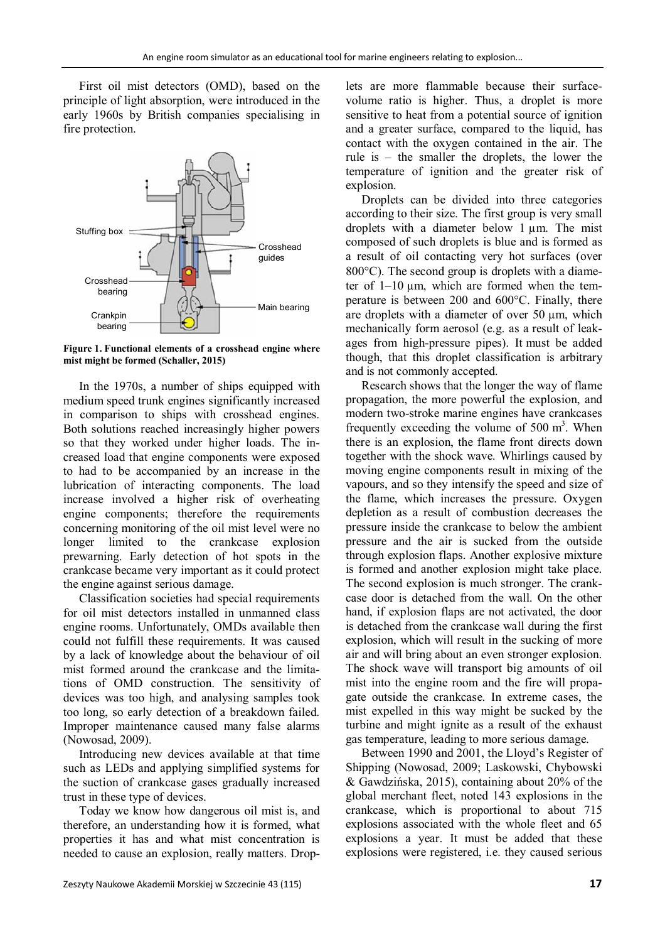First oil mist detectors (OMD), based on the principle of light absorption, were introduced in the early 1960s by British companies specialising in fire protection.



**Figure 1. Functional elements of a crosshead engine where mist might be formed (Schaller, 2015)**

In the 1970s, a number of ships equipped with medium speed trunk engines significantly increased in comparison to ships with crosshead engines. Both solutions reached increasingly higher powers so that they worked under higher loads. The increased load that engine components were exposed to had to be accompanied by an increase in the lubrication of interacting components. The load increase involved a higher risk of overheating engine components; therefore the requirements concerning monitoring of the oil mist level were no longer limited to the crankcase explosion prewarning. Early detection of hot spots in the crankcase became very important as it could protect the engine against serious damage.

Classification societies had special requirements for oil mist detectors installed in unmanned class engine rooms. Unfortunately, OMDs available then could not fulfill these requirements. It was caused by a lack of knowledge about the behaviour of oil mist formed around the crankcase and the limitations of OMD construction. The sensitivity of devices was too high, and analysing samples took too long, so early detection of a breakdown failed. Improper maintenance caused many false alarms (Nowosad, 2009).

Introducing new devices available at that time such as LEDs and applying simplified systems for the suction of crankcase gases gradually increased trust in these type of devices.

Today we know how dangerous oil mist is, and therefore, an understanding how it is formed, what properties it has and what mist concentration is needed to cause an explosion, really matters. Droplets are more flammable because their surfacevolume ratio is higher. Thus, a droplet is more sensitive to heat from a potential source of ignition and a greater surface, compared to the liquid, has contact with the oxygen contained in the air. The rule is – the smaller the droplets, the lower the temperature of ignition and the greater risk of explosion.

Droplets can be divided into three categories according to their size. The first group is very small droplets with a diameter below 1 µm. The mist composed of such droplets is blue and is formed as a result of oil contacting very hot surfaces (over  $800^{\circ}$ C). The second group is droplets with a diameter of  $1-10 \mu m$ , which are formed when the temperature is between  $200$  and  $600^{\circ}$ C. Finally, there are droplets with a diameter of over 50 µm, which mechanically form aerosol (e.g. as a result of leakages from high-pressure pipes). It must be added though, that this droplet classification is arbitrary and is not commonly accepted.

Research shows that the longer the way of flame propagation, the more powerful the explosion, and modern two-stroke marine engines have crankcases frequently exceeding the volume of  $500 \text{ m}^3$ . When there is an explosion, the flame front directs down together with the shock wave. Whirlings caused by moving engine components result in mixing of the vapours, and so they intensify the speed and size of the flame, which increases the pressure. Oxygen depletion as a result of combustion decreases the pressure inside the crankcase to below the ambient pressure and the air is sucked from the outside through explosion flaps. Another explosive mixture is formed and another explosion might take place. The second explosion is much stronger. The crankcase door is detached from the wall. On the other hand, if explosion flaps are not activated, the door is detached from the crankcase wall during the first explosion, which will result in the sucking of more air and will bring about an even stronger explosion. The shock wave will transport big amounts of oil mist into the engine room and the fire will propagate outside the crankcase. In extreme cases, the mist expelled in this way might be sucked by the turbine and might ignite as a result of the exhaust gas temperature, leading to more serious damage.

Between 1990 and 2001, the Lloyd's Register of Shipping (Nowosad, 2009; Laskowski, Chybowski & Gawdzińska, 2015), containing about 20% of the global merchant fleet, noted 143 explosions in the crankcase, which is proportional to about 715 explosions associated with the whole fleet and 65 explosions a year. It must be added that these explosions were registered, i.e. they caused serious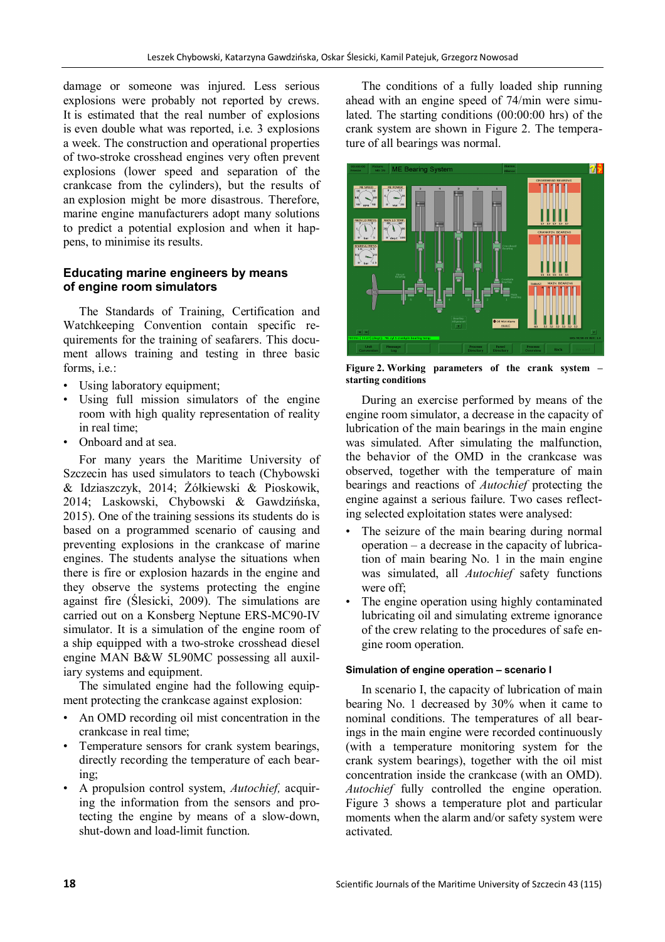damage or someone was injured. Less serious explosions were probably not reported by crews. It is estimated that the real number of explosions is even double what was reported, i.e. 3 explosions a week. The construction and operational properties of two-stroke crosshead engines very often prevent explosions (lower speed and separation of the crankcase from the cylinders), but the results of an explosion might be more disastrous. Therefore, marine engine manufacturers adopt many solutions to predict a potential explosion and when it happens, to minimise its results.

# **Educating marine engineers by means of engine room simulators**

The Standards of Training, Certification and Watchkeeping Convention contain specific requirements for the training of seafarers. This document allows training and testing in three basic forms, i.e.:

- Using laboratory equipment;
- Using full mission simulators of the engine room with high quality representation of reality in real time;
- Onboard and at sea.

For many years the Maritime University of Szczecin has used simulators to teach (Chybowski & Idziaszczyk, 2014; Żółkiewski & Pioskowik, 2014; Laskowski, Chybowski & Gawdzińska, 2015). One of the training sessions its students do is based on a programmed scenario of causing and preventing explosions in the crankcase of marine engines. The students analyse the situations when there is fire or explosion hazards in the engine and they observe the systems protecting the engine against fire (Ślesicki, 2009). The simulations are carried out on a Konsberg Neptune ERS-MC90-IV simulator. It is a simulation of the engine room of a ship equipped with a two-stroke crosshead diesel engine MAN B&W 5L90MC possessing all auxiliary systems and equipment.

The simulated engine had the following equipment protecting the crankcase against explosion:

- An OMD recording oil mist concentration in the crankcase in real time;
- Temperature sensors for crank system bearings, directly recording the temperature of each bearing;
- A propulsion control system, *Autochief,* acquiring the information from the sensors and protecting the engine by means of a slow-down, shut-down and load-limit function.

The conditions of a fully loaded ship running ahead with an engine speed of 74/min were simulated. The starting conditions (00:00:00 hrs) of the crank system are shown in Figure 2. The temperature of all bearings was normal.



**Figure 2. Working parameters of the crank system – starting conditions**

During an exercise performed by means of the engine room simulator, a decrease in the capacity of lubrication of the main bearings in the main engine was simulated. After simulating the malfunction, the behavior of the OMD in the crankcase was observed, together with the temperature of main bearings and reactions of *Autochief* protecting the engine against a serious failure. Two cases reflecting selected exploitation states were analysed:

- The seizure of the main bearing during normal operation – a decrease in the capacity of lubrication of main bearing No. 1 in the main engine was simulated, all *Autochief* safety functions were off;
- The engine operation using highly contaminated lubricating oil and simulating extreme ignorance of the crew relating to the procedures of safe engine room operation.

### **Simulation of engine operation – scenario I**

In scenario I, the capacity of lubrication of main bearing No. 1 decreased by 30% when it came to nominal conditions. The temperatures of all bearings in the main engine were recorded continuously (with a temperature monitoring system for the crank system bearings), together with the oil mist concentration inside the crankcase (with an OMD). *Autochief* fully controlled the engine operation. Figure 3 shows a temperature plot and particular moments when the alarm and/or safety system were activated.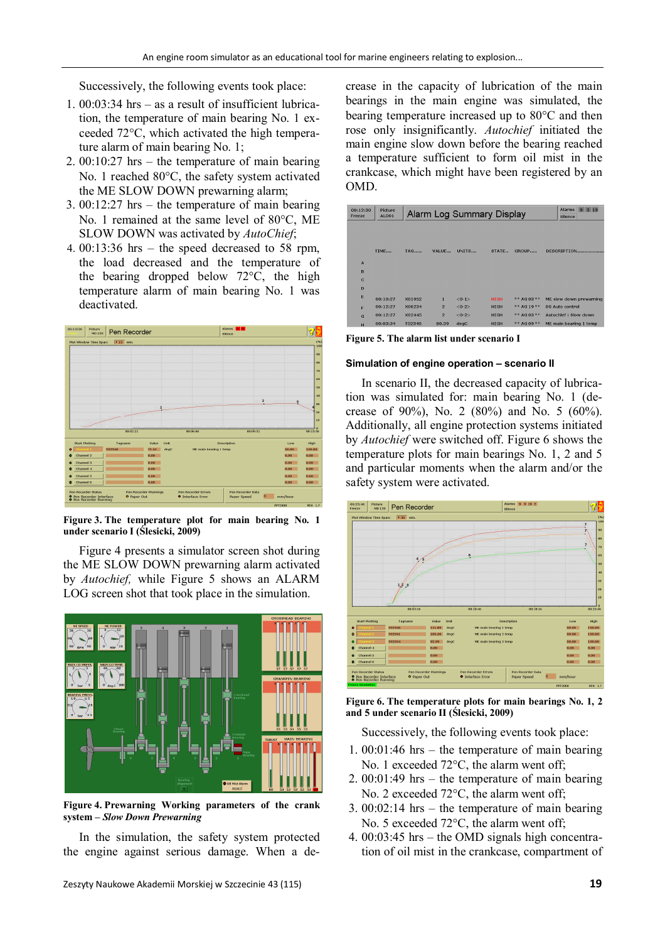Successively, the following events took place:

- 1. 00:03:34 hrs as a result of insufficient lubrication, the temperature of main bearing No. 1 exceeded 72°C, which activated the high temperature alarm of main bearing No. 1;
- 2. 00:10:27 hrs the temperature of main bearing No. 1 reached 80°C, the safety system activated the ME SLOW DOWN prewarning alarm;
- 3. 00:12:27 hrs the temperature of main bearing No. 1 remained at the same level of 80°C, ME SLOW DOWN was activated by *AutoChief*;
- 4. 00:13:36 hrs the speed decreased to 58 rpm, the load decreased and the temperature of the bearing dropped below 72°C, the high temperature alarm of main bearing No. 1 was deactivated.



**Figure 3. The temperature plot for main bearing No. 1 under scenario I (Ślesicki, 2009)**

Figure 4 presents a simulator screen shot during the ME SLOW DOWN prewarning alarm activated by *Autochief,* while Figure 5 shows an ALARM LOG screen shot that took place in the simulation.



**Figure 4. Prewarning Working parameters of the crank system –** *Slow Down Prewarning*

In the simulation, the safety system protected the engine against serious damage. When a decrease in the capacity of lubrication of the main bearings in the main engine was simulated, the bearing temperature increased up to  $80^{\circ}$ C and then rose only insignificantly. *Autochief* initiated the main engine slow down before the bearing reached a temperature sufficient to form oil mist in the crankcase, which might have been registered by an OMD.

| 00:12:30<br>Freeze | Picture<br>ALD01 | $9 \t3 \t19$<br><b>Alarms</b><br>Alarm Log Summary Display<br>Silence |                |           |             |             |                         |  |  |
|--------------------|------------------|-----------------------------------------------------------------------|----------------|-----------|-------------|-------------|-------------------------|--|--|
|                    |                  |                                                                       |                |           |             |             |                         |  |  |
|                    |                  |                                                                       |                |           |             |             |                         |  |  |
|                    | TIME             | <b>TAG</b>                                                            | VALUE          | UNITS     | STATE       | GROUP       | DESCRIPTION             |  |  |
| A                  |                  |                                                                       |                |           |             |             |                         |  |  |
| B                  |                  |                                                                       |                |           |             |             |                         |  |  |
| $\overline{c}$     |                  |                                                                       |                |           |             |             |                         |  |  |
| D                  |                  |                                                                       |                |           |             |             |                         |  |  |
| E                  | 00:10:27         | X01952                                                                | $\mathbf{1}$   | $<0-1>$   | <b>HIGH</b> | ** AG 03 ** | ME slow down prewarning |  |  |
| E                  | 00:12:27         | X06234                                                                | $\overline{2}$ | $< 0 - 2$ | <b>HIGH</b> | ** AG 19 ** | <b>SG Auto control</b>  |  |  |
| G                  | 00:12:27         | X02445                                                                | $\overline{2}$ | $<0-2>$   | <b>HIGH</b> | ** AG 03 ** | Autochief : Slow down   |  |  |
| н                  | 00:03:34         | T02340                                                                | 80.39          | deac      | <b>HIGH</b> | ** AG 09 ** | ME main bearing 1 temp  |  |  |

**Figure 5. The alarm list under scenario I**

#### **Simulation of engine operation – scenario II**

In scenario II, the decreased capacity of lubrication was simulated for: main bearing No. 1 (decrease of 90%), No. 2 (80%) and No. 5 (60%). Additionally, all engine protection systems initiated by *Autochief* were switched off. Figure 6 shows the temperature plots for main bearings No. 1, 2 and 5 and particular moments when the alarm and/or the safety system were activated.



**Figure 6. The temperature plots for main bearings No. 1, 2 and 5 under scenario II (Ślesicki, 2009)**

Successively, the following events took place:

- 1. 00:01:46 hrs the temperature of main bearing No. 1 exceeded  $72^{\circ}$ C, the alarm went off;
- 2. 00:01:49 hrs the temperature of main bearing No. 2 exceeded  $72^{\circ}$ C, the alarm went off:
- 3. 00:02:14 hrs the temperature of main bearing No. 5 exceeded  $72^{\circ}$ C, the alarm went off;
- 4. 00:03:45 hrs the OMD signals high concentration of oil mist in the crankcase, compartment of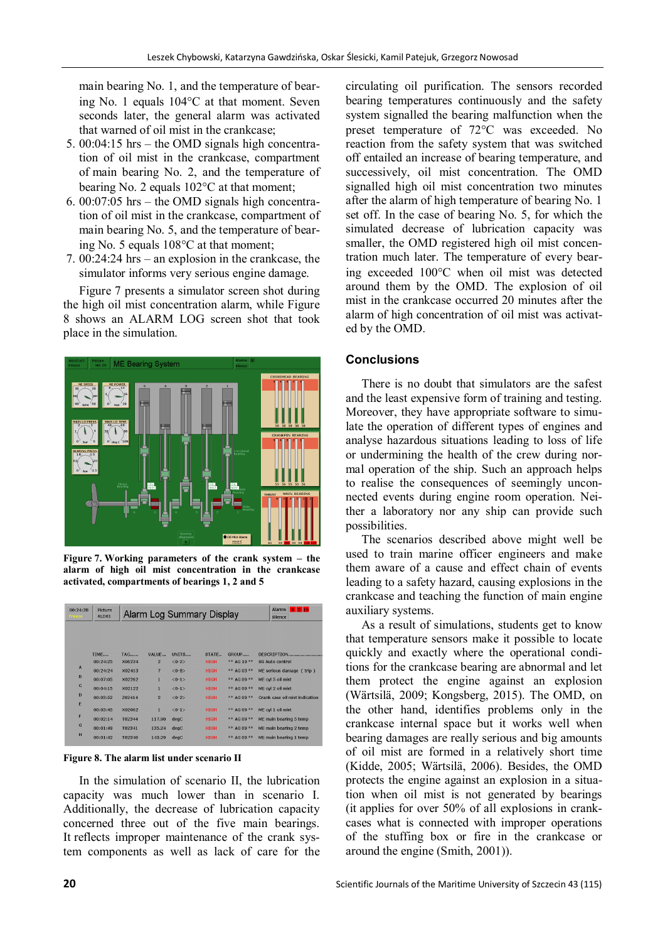main bearing No. 1, and the temperature of bearing No. 1 equals  $104^{\circ}$ C at that moment. Seven seconds later, the general alarm was activated that warned of oil mist in the crankcase;

- 5. 00:04:15 hrs the OMD signals high concentration of oil mist in the crankcase, compartment of main bearing No. 2, and the temperature of bearing No. 2 equals  $102^{\circ}$ C at that moment;
- 6. 00:07:05 hrs the OMD signals high concentration of oil mist in the crankcase, compartment of main bearing No. 5, and the temperature of bearing No. 5 equals  $108^{\circ}$ C at that moment:
- 7. 00:24:24 hrs an explosion in the crankcase, the simulator informs very serious engine damage.

Figure 7 presents a simulator screen shot during the high oil mist concentration alarm, while Figure 8 shows an ALARM LOG screen shot that took place in the simulation.



**Figure 7. Working parameters of the crank system – the alarm of high oil mist concentration in the crankcase activated, compartments of bearings 1, 2 and 5**

| 00:24:28<br>Freeze | <b>Picture</b><br>ALD01 |                      | Alarm Log Summary Display | <b>Alarms</b><br><u>o la hol</u><br><b>Silence</b> |                      |                      |                                              |
|--------------------|-------------------------|----------------------|---------------------------|----------------------------------------------------|----------------------|----------------------|----------------------------------------------|
|                    | TIMF<br>00:24:25        | <b>TAG</b><br>X06234 | VALUE<br>$\overline{2}$   | UNITS<br>$<0-2>$                                   | STATE<br><b>HIGH</b> | GROUP<br>** AG 19 ** | <b>DESCRIPTION</b><br><b>SG Auto control</b> |
| A                  | 00:24:24                | X02413               | $\overline{7}$            | $< 0 - 8$                                          | <b>HIGH</b>          | $*$ AG 03 $**$       | ME serious damage (trip)                     |
| B                  | 00:07:05                | X02262               | п                         | $<0-1>$                                            | <b>HIGH</b>          | ** AG 09 **          | ME cvl 5 oil mist                            |
| $\mathbf c$        | 00:04:15                | X02122               | 1                         | $<0-1>$                                            | <b>HIGH</b>          | $*$ AG 09 $**$       | ME cyl 2 oil mist                            |
| D                  | 00:03:52                | 702414               | $\overline{2}$            | $<0-2>$                                            | <b>HTGH</b>          | $*$ AG 09 $**$       | Crank case oil mist indication               |
| E                  | 00:03:45                | X02062               | ı                         | $< 0 - 1 >$                                        | <b>HIGH</b>          | $*$ AG 09 $**$       | ME cyl 1 oil mist                            |
| F                  | 00:02:14                | T02344               | 117.90                    | degC                                               | <b>HIGH</b>          | $*$ AG 09 $**$       | ME main bearing 5 temp                       |
| G                  | 00:01:49                | T02341               | 135.24                    | degC                                               | <b>HIGH</b>          | $*$ AG 09 $**$       | ME main bearing 2 temp                       |
| H                  | 00:01:42                | T02340               | 143.29                    | degC                                               | <b>HIGH</b>          | $*$ AG 09 $**$       | ME main bearing 1 temp                       |

**Figure 8. The alarm list under scenario II**

In the simulation of scenario II, the lubrication capacity was much lower than in scenario I. Additionally, the decrease of lubrication capacity concerned three out of the five main bearings. It reflects improper maintenance of the crank system components as well as lack of care for the

circulating oil purification. The sensors recorded bearing temperatures continuously and the safety system signalled the bearing malfunction when the preset temperature of  $72^{\circ}$ C was exceeded. No reaction from the safety system that was switched off entailed an increase of bearing temperature, and successively, oil mist concentration. The OMD signalled high oil mist concentration two minutes after the alarm of high temperature of bearing No. 1 set off. In the case of bearing No. 5, for which the simulated decrease of lubrication capacity was smaller, the OMD registered high oil mist concentration much later. The temperature of every bearing exceeded  $100^{\circ}$ C when oil mist was detected around them by the OMD. The explosion of oil mist in the crankcase occurred 20 minutes after the alarm of high concentration of oil mist was activated by the OMD.

## **Conclusions**

There is no doubt that simulators are the safest and the least expensive form of training and testing. Moreover, they have appropriate software to simulate the operation of different types of engines and analyse hazardous situations leading to loss of life or undermining the health of the crew during normal operation of the ship. Such an approach helps to realise the consequences of seemingly unconnected events during engine room operation. Neither a laboratory nor any ship can provide such possibilities.

The scenarios described above might well be used to train marine officer engineers and make them aware of a cause and effect chain of events leading to a safety hazard, causing explosions in the crankcase and teaching the function of main engine auxiliary systems.

As a result of simulations, students get to know that temperature sensors make it possible to locate quickly and exactly where the operational conditions for the crankcase bearing are abnormal and let them protect the engine against an explosion (Wärtsilä, 2009; Kongsberg, 2015). The OMD, on the other hand, identifies problems only in the crankcase internal space but it works well when bearing damages are really serious and big amounts of oil mist are formed in a relatively short time (Kidde, 2005; Wärtsilä, 2006). Besides, the OMD protects the engine against an explosion in a situation when oil mist is not generated by bearings (it applies for over 50% of all explosions in crankcases what is connected with improper operations of the stuffing box or fire in the crankcase or around the engine (Smith, 2001)).